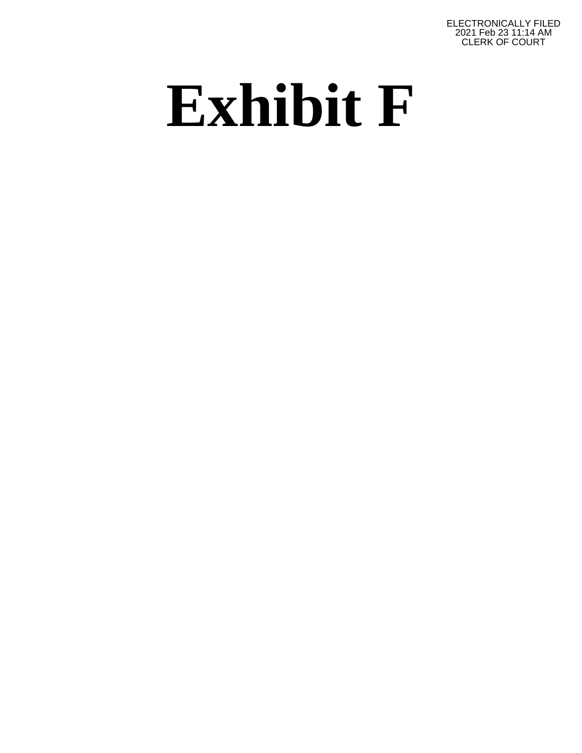ELECTRONICALLY FILED 2021 Feb 23 11:14 AM CLERK OF COURT

## **Exhibit F**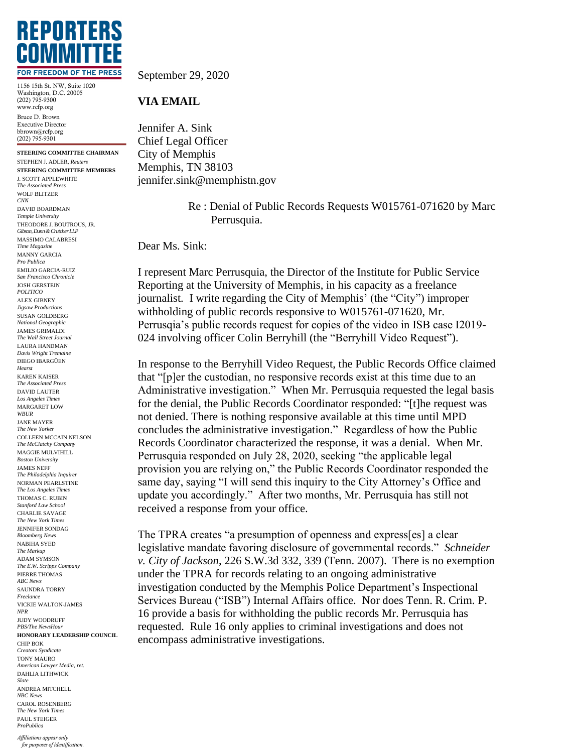

1156 15th St. NW, Suite 1020 Washington, D.C. 20005 (202) 795-9300 www.rcfp.org Bruce D. Brown Executive Director bbrown@rcfp.org (202) 795-9301

**STEERING COMMITTEE CHAIRMAN** STEPHEN J. ADLER, *Reuters* **STEERING COMMITTEE MEMBERS** J. SCOTT APPLEWHITE *The Associated Press* WOLF BLITZER *CNN* DAVID BOARDMAN *Temple University* THEODORE J. BOUTROUS, JR. *Gibson, Dunn & Crutcher LLP* MASSIMO CALABRESI *Time Magazine* MANNY GARCIA *Pro Publica* EMILIO GARCIA-RUIZ *San Francisco Chronicle* JOSH GERSTEIN *POLITICO* ALEX GIBNEY *Jigsaw Productions* SUSAN GOLDBERG *National Geographic* JAMES GRIMALDI *The Wall Street Journal* LAURA HANDMAN *Davis Wright Tremaine* DIEGO IBARGÜEN *Hearst* KAREN KAISER *The Associated Press* DAVID LAUTER *Los Angeles Times* MARGARET LOW *WBUR* JANE MAYER *The New Yorker* COLLEEN MCCAIN NELSON *The McClatchy Company* MAGGIE MULVIHILL *Boston University* JAMES NEFF *The Philadelphia Inquirer* NORMAN PEARLSTINE *The Los Angeles Times* THOMAS C. RUBIN *Stanford Law School* CHARLIE SAVAGE *The New York Times* JENNIFER SONDAG *Bloomberg News* NABIHA SYED *The Markup* ADAM SYMSON *The E.W. Scripps Company* PIERRE THOMAS *ABC News* SAUNDRA TORRY *Freelance* VICKIE WALTON-JAMES *NPR* JUDY WOODRUFF *PBS/The NewsHour* **HONORARY LEADERSHIP COUNCIL** CHIP BOK *Creators Syndicate* TONY MAURO *American Lawyer Media, ret.* DAHLIA LITHWICK *Slate* ANDREA MITCHELL *NBC News* CAROL ROSENBERG *The New York Times* PAUL STEIGER *ProPublica*

*Affiliations appear only for purposes of identification.* September 29, 2020

## **VIA EMAIL**

Jennifer A. Sink Chief Legal Officer City of Memphis Memphis, TN 38103 jennifer.sink@memphistn.gov

> Re : Denial of Public Records Requests W015761-071620 by Marc Perrusquia.

Dear Ms. Sink:

I represent Marc Perrusquia, the Director of the Institute for Public Service Reporting at the University of Memphis, in his capacity as a freelance journalist*.* I write regarding the City of Memphis' (the "City") improper withholding of public records responsive to W015761-071620, Mr. Perrusqia's public records request for copies of the video in ISB case I2019- 024 involving officer Colin Berryhill (the "Berryhill Video Request").

In response to the Berryhill Video Request, the Public Records Office claimed that "[p]er the custodian, no responsive records exist at this time due to an Administrative investigation." When Mr. Perrusquia requested the legal basis for the denial, the Public Records Coordinator responded: "[t]he request was not denied. There is nothing responsive available at this time until MPD concludes the administrative investigation." Regardless of how the Public Records Coordinator characterized the response, it was a denial. When Mr. Perrusquia responded on July 28, 2020, seeking "the applicable legal provision you are relying on," the Public Records Coordinator responded the same day, saying "I will send this inquiry to the City Attorney's Office and update you accordingly." After two months, Mr. Perrusquia has still not received a response from your office.

The TPRA creates "a presumption of openness and express[es] a clear legislative mandate favoring disclosure of governmental records." *Schneider v. City of Jackson*, 226 S.W.3d 332, 339 (Tenn. 2007). There is no exemption under the TPRA for records relating to an ongoing administrative investigation conducted by the Memphis Police Department's Inspectional Services Bureau ("ISB") Internal Affairs office. Nor does Tenn. R. Crim. P. 16 provide a basis for withholding the public records Mr. Perrusquia has requested. Rule 16 only applies to criminal investigations and does not encompass administrative investigations.